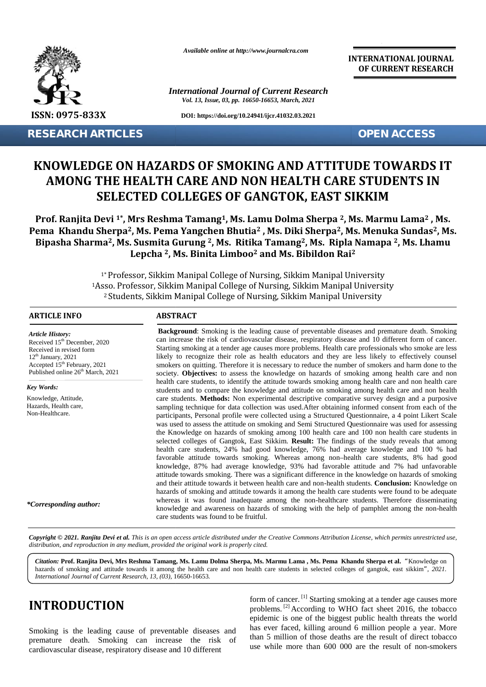

**RESEARCH ARTICLES OPEN ACCESS**

*Available online at http://www.journalcra.com*

*International Journal of Current Research Vol. 13, Issue, 03, pp. 16650-16653, March, 2021*

**DOI: https://doi.org/10.24941/ijcr.41032.03.2021**

**INTERNATIONAL JOURNAL OF CURRENT RESEARCH**

# **KNOWLEDGE ON HAZARDS OF SMOKING AND ATTITUDE TOWARDS IT AMONG THE HEALTH CARE AND NON HEALTH CARE STUDENTS IN SELECTED COLLEGES OF GANGTOK, EAST SIKKIM THE HEALTH CARECOLLEGES OF**

**Prof. Ranjita Devi 1\*, Mrs Reshma Tamang1, Ms. Lamu Dolma Sherpa <sup>2</sup>, Ms. Marmu Lama<sup>2</sup> , Ms. Tamang Lama<sup>2</sup>Pema Khandu Sherpa2, Ms. Pema Yangchen Bhutia<sup>2</sup> , Ms. Diki Sherpa2, Ms. Menuka Sundas2, Ms. , Yangchen Bhutia2Ms.Bipasha Sharma2, Ms. Susmita Gurung <sup>2</sup>, Ms. Ritika Tamang2, Ms. Ripla Namapa <sup>2</sup>, Ms. Lhamu <sup>2</sup>Ms. , <sup>2</sup> Lepcha <sup>2</sup>, Ms. Binita Limboo<sup>2</sup> and Ms. Bibildon Rai<sup>2</sup> RESEARCH ARTICLES**<br> **REVISED AND MAZARDS OF SMOKING AND ATTITUDE TOWARDS IT**<br> **AMONG THE HEALTH CARE AND NON HEALTH CARE STUDENTS IN**<br> **SELECTED COLLEGES OF GANGTOK, EAST SIKKIM**<br>
Prof. Ranjita Devi<sup>12+</sup>, Mrs Reshma Taman

1\* Professor, Sikkim Manipal College of Nursing, Sikkim Manipal University Manipal 1Asso. Professor, Sikkim Manipal College of Nursing, Sikkim Manipal University <sup>2</sup> Students, Sikkim Manipal College of Nursing, Sikkim Manipal University

#### **ARTICLE INFO ABSTRACT ARTICLE ABSTRACT**

*Article History: Article History:*  $\text{Received } 15^{\text{th}}$  December, 2020 Received in revised form<br>12<sup>th</sup> January, 2021  $12<sup>th</sup> January, 2021$  $Accepted 15<sup>th</sup> February, 2021$  s Published online  $26<sup>th</sup>$  March, 2021 <sup>1</sup>ASSO.<br>
<sup>2</sup> Stu<br>
<sup>2</sup> Stu<br>
<sup>2</sup> Stu<br> *Article History:*<br>
Received 15<sup>th</sup> December, 2020<br>
Received in revised form<br>  $12^{\text{th}}$  January, 2021<br>
Accepted 15<sup>th</sup> February, 2021

*Key Words:* Knowledge, Attitude, Hazards, Health care, Non-Healthcare.

*\*Corresponding author:*

**Background**: Smoking is the leading cause of preventable diseases and premature death. Smoking can increase the risk of cardiovascular disease, respiratory disease and 10 different form of cancer. Starting smoking at a tender age causes more problems. Health care professionals who smoke are less likely to recognize their role as health educators and they are less likely to effectively counsel smokers on quitting. Therefore it is necessary to reduce the number of smokers and harm done to the society. **Objectives:** to assess the knowledge on hazards of smoking among health care and non health care students, to identify the attitude towards smoking among health care and non health care society. **Objectives:** to assess the knowledge on hazards of smoking among health care and non health care students, to identify the attitude towards smoking among health care and non health care students and to compare th care students. **Methods:** Non experimental descriptive comparative survey design and a purposive sampling technique for data collection was used.After obtaining informed consent from each of the participants, Personal profile were collected using a Structured Questionnaire, a 4 point Likert Scale was used to assess the attitude on smoking and Semi Structured Questionnaire was used for assessing the Knowledge on hazards of smoking among 100 health care and 100 non health care students in selected colleges of Gangtok, East Sikkim. **Result:** The findings of the study reveals that among health care students, 24% had good knowledge, 76% had average knowledge and 100 % had favorable attitude towards smoking. Whereas among non–health care students, 8% had good knowledge, 87% had average knowledge, 93% had favorable attitude and 7% had unfavorable attitude towards smoking. There was a significant difference in the knowledge on hazards of smoking and their attitude towards it between health care and non-health students. **Conclusion:** Knowledge on hazards of smoking and attitude towards it among the health care students were found to be adequate whereas it was found inadequate among the non-healthcare students. Therefore disseminating knowledge and awareness on hazards of smoking with the help of pamphlet among the non-health care students was found to be fruitful. care students was fruitful.Background: Smoking is the leading cause of preventable diseases and premature death. Smoking can increase the risk of cardiovascular disease, respiratory disease and 10 different form of cancer. Starting smoking at a tend likely to recognize their role as health educators and they are less likely to effectively counsel<br>snockers on quitting. Therefore it is necessary to reduce the number of smokers and harm done to the<br>society. **Objectives:** SSNo 975-633X<br>
ISSNo 975-633X<br>
ISSNo 975-633X<br>
ESEARCH ARTICLES<br>
ESEARCH ARTICLES<br>
ISSNO WIERDS OF SMOKING AND ATTITUDE TOWARDS IT<br>
AMONG THE HEMATIC RARE SAD NON HEREATING TOWARDS IT<br>
Prof. Ranjita Devi<sup>1</sup>, My Reshma Tama coment, 2020<br>
can increase the risk of cardiovacular disease, respiratory disease and 10 different from<br>
16 drom<br>
Starting smoking and at electrochinas and they are problems. Health care professionals who smoke<br>
16 of form

Copyright © 2021. Ranjita Devi et al. This is an open access article distributed under the Creative Commons Attribution License, which permits unrestricted use, *distribution, and reproduction in any medium, provided the original work is properly cited. distribution,any*

*Citation:* **Prof. Ranjita Devi, Mrs Reshma Tamang, Ms. Lamu Dolma Sherpa, Ms. Marmu Lama , Ms. Pema Khandu Sherpa et al.** *"*Knowledge on **Marmu al.***Citation:*hazards of smoking and attitude towards it among the health care and non health care students in selected colleges of gangtok, east sikkim*", 2021. International Journal of Current Research, 13, (03),* 16650-16653*.*

#### **INTRODUCTION INTRODUCTION**

Smoking is the leading cause of preventable diseases and premature death. Smoking can increase the risk of cardiovascular disease, respiratory disease and 10 different

form of cancer. [1] Starting smoking at a tender age causes more problems. [2] According to WHO fact sheet 2016, the tobacco epidemic is one of the biggest public health threats the world has ever faced, killing around 6 million people a year. More than 5 million of those deaths are the result of direct tobacco use while more than 600 000 are the result of non-smokers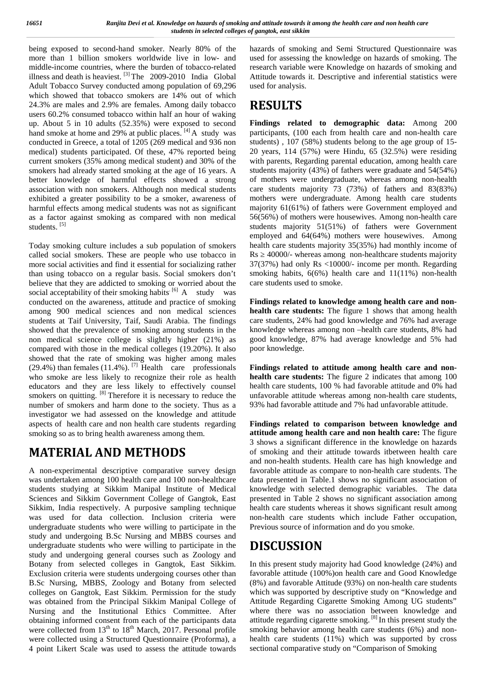being exposed to second-hand smoker. Nearly 80% of the more than 1 billion smokers worldwide live in low- and middle-income countries, where the burden of tobacco-related illness and death is heaviest. [3] The 2009-2010 India Global Adult Tobacco Survey conducted among population of 69,296 which showed that tobacco smokers are 14% out of which 24.3% are males and 2.9% are females. Among daily tobacco users 60.2% consumed tobacco within half an hour of waking up. About 5 in 10 adults (52.35%) were exposed to second hand smoke at home and 29% at public places. <sup>[4]</sup> A study was conducted in Greece, a total of 1205 (269 medical and 936 non medical) students participated. Of these, 47% reported being current smokers (35% among medical student) and 30% of the smokers had already started smoking at the age of 16 years. A better knowledge of harmful effects showed a strong association with non smokers. Although non medical students exhibited a greater possibility to be a smoker, awareness of harmful effects among medical students was not as significant as a factor against smoking as compared with non medical students.<sup>[5]</sup>

Today smoking culture includes a sub population of smokers called social smokers. These are people who use tobacco in more social activities and find it essential for socializing rather than using tobacco on a regular basis. Social smokers don't believe that they are addicted to smoking or worried about the social acceptability of their smoking habits.  $[6]$  A study was conducted on the awareness, attitude and practice of smoking among 900 medical sciences and non medical sciences students at Taif University, Taif, Saudi Arabia. The findings showed that the prevalence of smoking among students in the non medical science college is slightly higher (21%) as compared with those in the medical colleges (19.20%). It also showed that the rate of smoking was higher among males (29.4%) than females (11.4%). <sup>[7]</sup> Health care professionals who smoke are less likely to recognize their role as health educators and they are less likely to effectively counsel smokers on quitting. <sup>[8]</sup> Therefore it is necessary to reduce the number of smokers and harm done to the society. Thus as a investigator we had assessed on the knowledge and attitude aspects of health care and non health care students regarding smoking so as to bring health awareness among them.

# **MATERIAL AND METHODS**

A non-experimental descriptive comparative survey design was undertaken among 100 health care and 100 non-healthcare students studying at Sikkim Manipal Institute of Medical Sciences and Sikkim Government College of Gangtok, East Sikkim, India respectively. A purposive sampling technique was used for data collection. Inclusion criteria were undergraduate students who were willing to participate in the study and undergoing B.Sc Nursing and MBBS courses and undergraduate students who were willing to participate in the study and undergoing general courses such as Zoology and Botany from selected colleges in Gangtok, East Sikkim. Exclusion criteria were students undergoing courses other than B.Sc Nursing, MBBS, Zoology and Botany from selected colleges on Gangtok, East Sikkim. Permission for the study was obtained from the Principal Sikkim Manipal College of Nursing and the Institutional Ethics Committee. After obtaining informed consent from each of the participants data were collected from  $13<sup>th</sup>$  to  $18<sup>th</sup>$  March, 2017. Personal profile were collected using a Structured Questionnaire (Proforma), a 4 point Likert Scale was used to assess the attitude towards hazards of smoking and Semi Structured Questionnaire was used for assessing the knowledge on hazards of smoking. The research variable were Knowledge on hazards of smoking and Attitude towards it. Descriptive and inferential statistics were used for analysis.

# **RESULTS**

**Findings related to demographic data:** Among 200 participants, (100 each from health care and non-health care students) , 107 (58%) students belong to the age group of 15- 20 years, 114 (57%) were Hindu, 65 (32.5%) were residing with parents, Regarding parental education, among health care students majority (43%) of fathers were graduate and 54(54%) of mothers were undergraduate, whereas among non-health care students majority 73 (73%) of fathers and 83(83%) mothers were undergraduate. Among health care students majority 61(61%) of fathers were Government employed and 56(56%) of mothers were housewives. Among non-health care students majority 51(51%) of fathers were Government employed and 64(64%) mothers were housewives. Among health care students majority 35(35%) had monthly income of Rs  $\alpha$  40000/- whereas among non-healthcare students majority 37(37%) had only Rs <10000/- income per month. Regarding smoking habits, 6(6%) health care and 11(11%) non-health care students used to smoke.

**Findings related to knowledge among health care and non health care students:** The figure 1 shows that among health care students, 24% had good knowledge and 76% had average knowledge whereas among non –health care students, 8% had good knowledge, 87% had average knowledge and 5% had poor knowledge.

**Findings related to attitude among health care and non health care students:** The figure 2 indicates that among 100 health care students, 100 % had favorable attitude and 0% had unfavorable attitude whereas among non-health care students, 93% had favorable attitude and 7% had unfavorable attitude.

**Findings related to comparison between knowledge and attitude among health care and non health care:** The figure 3 shows a significant difference in the knowledge on hazards of smoking and their attitude towards itbetween health care and non-health students. Health care has high knowledge and favorable attitude as compare to non-health care students. The data presented in Table.1 shows no significant association of knowledge with selected demographic variables. The data presented in Table 2 shows no significant association among health care students whereas it shows significant result among non-health care students which include Father occupation, Previous source of information and do you smoke.

# **DISCUSSION**

In this present study majority had Good knowledge (24%) and favorable attitude (100%)on health care and Good Knowledge (8%) and favorable Attitude (93%) on non-health care students which was supported by descriptive study on "Knowledge and Attitude Regarding Cigarette Smoking Among UG students" where there was no association between knowledge and attitude regarding cigarette smoking. [8] In this present study the smoking behavior among health care students (6%) and non health care students (11%) which was supported by cross sectional comparative study on "Comparison of Smoking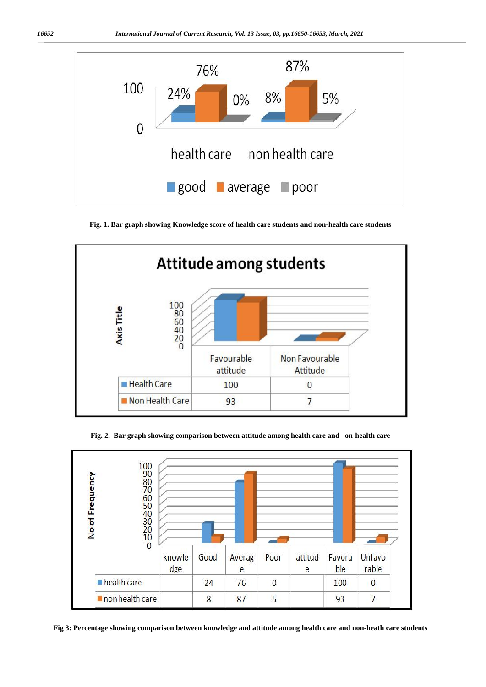

**Fig. 1. Bar graph showing Knowledge score of health care students and non-health care students**



**Fig. 2. Bar graph showing comparison between attitude among health care and on-health care**



**Fig 3: Percentage showing comparison between knowledge and attitude among health care and non-heath care students**